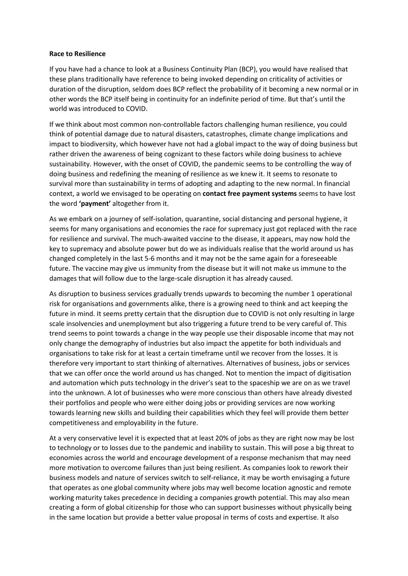## **Race to Resilience**

If you have had a chance to look at a Business Continuity Plan (BCP), you would have realised that these plans traditionally have reference to being invoked depending on criticality of activities or duration of the disruption, seldom does BCP reflect the probability of it becoming a new normal or in other words the BCP itself being in continuity for an indefinite period of time. But that's until the world was introduced to COVID.

If we think about most common non-controllable factors challenging human resilience, you could think of potential damage due to natural disasters, catastrophes, climate change implications and impact to biodiversity, which however have not had a global impact to the way of doing business but rather driven the awareness of being cognizant to these factors while doing business to achieve sustainability. However, with the onset of COVID, the pandemic seems to be controlling the way of doing business and redefining the meaning of resilience as we knew it. It seems to resonate to survival more than sustainability in terms of adopting and adapting to the new normal. In financial context, a world we envisaged to be operating on **contact free payment systems** seems to have lost the word **'payment'** altogether from it.

As we embark on a journey of self-isolation, quarantine, social distancing and personal hygiene, it seems for many organisations and economies the race for supremacy just got replaced with the race for resilience and survival. The much-awaited vaccine to the disease, it appears, may now hold the key to supremacy and absolute power but do we as individuals realise that the world around us has changed completely in the last 5-6 months and it may not be the same again for a foreseeable future. The vaccine may give us immunity from the disease but it will not make us immune to the damages that will follow due to the large-scale disruption it has already caused.

As disruption to business services gradually trends upwards to becoming the number 1 operational risk for organisations and governments alike, there is a growing need to think and act keeping the future in mind. It seems pretty certain that the disruption due to COVID is not only resulting in large scale insolvencies and unemployment but also triggering a future trend to be very careful of. This trend seems to point towards a change in the way people use their disposable income that may not only change the demography of industries but also impact the appetite for both individuals and organisations to take risk for at least a certain timeframe until we recover from the losses. It is therefore very important to start thinking of alternatives. Alternatives of business, jobs or services that we can offer once the world around us has changed. Not to mention the impact of digitisation and automation which puts technology in the driver's seat to the spaceship we are on as we travel into the unknown. A lot of businesses who were more conscious than others have already divested their portfolios and people who were either doing jobs or providing services are now working towards learning new skills and building their capabilities which they feel will provide them better competitiveness and employability in the future.

At a very conservative level it is expected that at least 20% of jobs as they are right now may be lost to technology or to losses due to the pandemic and inability to sustain. This will pose a big threat to economies across the world and encourage development of a response mechanism that may need more motivation to overcome failures than just being resilient. As companies look to rework their business models and nature of services switch to self-reliance, it may be worth envisaging a future that operates as one global community where jobs may well become location agnostic and remote working maturity takes precedence in deciding a companies growth potential. This may also mean creating a form of global citizenship for those who can support businesses without physically being in the same location but provide a better value proposal in terms of costs and expertise. It also